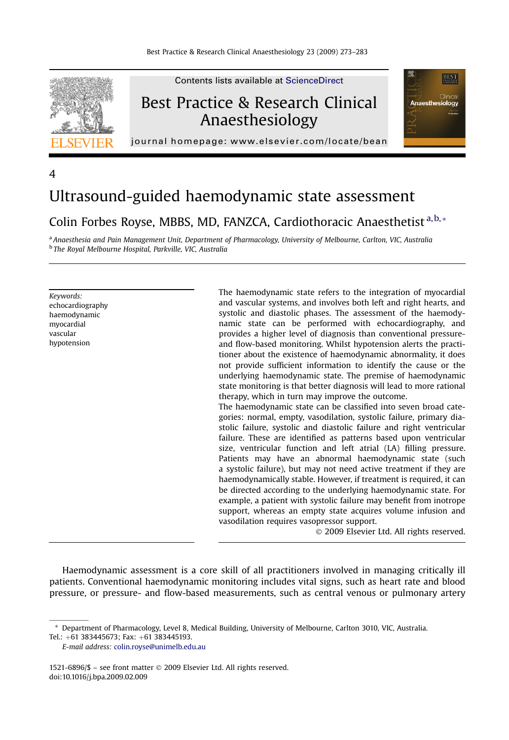

# Ultrasound-guided haemodynamic state assessment

Colin Forbes Royse, MBBS, MD, FANZCA, Cardiothoracic Anaesthetist<sup>a,b,\*</sup>

a Anaesthesia and Pain Management Unit, Department of Pharmacology, University of Melbourne, Carlton, VIC, Australia <sup>b</sup> The Royal Melbourne Hospital, Parkville, VIC, Australia

Keywords: echocardiography haemodynamic myocardial vascular hypotension

4

The haemodynamic state refers to the integration of myocardial and vascular systems, and involves both left and right hearts, and systolic and diastolic phases. The assessment of the haemodynamic state can be performed with echocardiography, and provides a higher level of diagnosis than conventional pressureand flow-based monitoring. Whilst hypotension alerts the practitioner about the existence of haemodynamic abnormality, it does not provide sufficient information to identify the cause or the underlying haemodynamic state. The premise of haemodynamic state monitoring is that better diagnosis will lead to more rational therapy, which in turn may improve the outcome.

The haemodynamic state can be classified into seven broad categories: normal, empty, vasodilation, systolic failure, primary diastolic failure, systolic and diastolic failure and right ventricular failure. These are identified as patterns based upon ventricular size, ventricular function and left atrial (LA) filling pressure. Patients may have an abnormal haemodynamic state (such a systolic failure), but may not need active treatment if they are haemodynamically stable. However, if treatment is required, it can be directed according to the underlying haemodynamic state. For example, a patient with systolic failure may benefit from inotrope support, whereas an empty state acquires volume infusion and vasodilation requires vasopressor support.

- 2009 Elsevier Ltd. All rights reserved.

Haemodynamic assessment is a core skill of all practitioners involved in managing critically ill patients. Conventional haemodynamic monitoring includes vital signs, such as heart rate and blood pressure, or pressure- and flow-based measurements, such as central venous or pulmonary artery

Tel.: +61 383445673; Fax: +61 383445193.

<sup>\*</sup> Department of Pharmacology, Level 8, Medical Building, University of Melbourne, Carlton 3010, VIC, Australia.

E-mail address: [colin.royse@unimelb.edu.au](mailto:colin.royse@unimelb.edu.au)

 $1521-6896/\$  – see front matter  $\odot$  2009 Elsevier Ltd. All rights reserved. doi:10.1016/j.bpa.2009.02.009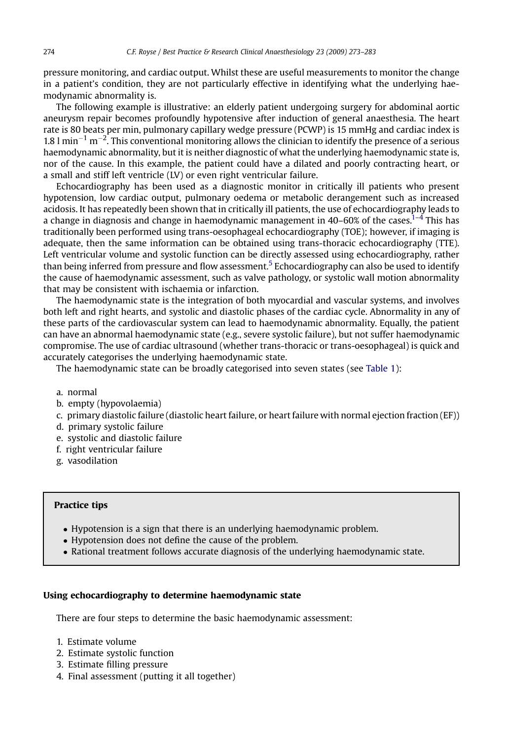pressure monitoring, and cardiac output. Whilst these are useful measurements to monitor the change in a patient's condition, they are not particularly effective in identifying what the underlying haemodynamic abnormality is.

The following example is illustrative: an elderly patient undergoing surgery for abdominal aortic aneurysm repair becomes profoundly hypotensive after induction of general anaesthesia. The heart rate is 80 beats per min, pulmonary capillary wedge pressure (PCWP) is 15 mmHg and cardiac index is 1.8 l min<sup>-1</sup> m<sup>-2</sup>. This conventional monitoring allows the clinician to identify the presence of a serious haemodynamic abnormality, but it is neither diagnostic of what the underlying haemodynamic state is, nor of the cause. In this example, the patient could have a dilated and poorly contracting heart, or a small and stiff left ventricle (LV) or even right ventricular failure.

Echocardiography has been used as a diagnostic monitor in critically ill patients who present hypotension, low cardiac output, pulmonary oedema or metabolic derangement such as increased acidosis. It has repeatedly been shown that in critically ill patients, the use of echocardiography leads to a change in diagnosis and change in haemodynamic management in 40–60% of the cases.[1–4](#page-10-0) This has traditionally been performed using trans-oesophageal echocardiography (TOE); however, if imaging is adequate, then the same information can be obtained using trans-thoracic echocardiography (TTE). Left ventricular volume and systolic function can be directly assessed using echocardiography, rather than being inferred from pressure and flow assessment.<sup>[5](#page-10-0)</sup> Echocardiography can also be used to identify the cause of haemodynamic assessment, such as valve pathology, or systolic wall motion abnormality that may be consistent with ischaemia or infarction.

The haemodynamic state is the integration of both myocardial and vascular systems, and involves both left and right hearts, and systolic and diastolic phases of the cardiac cycle. Abnormality in any of these parts of the cardiovascular system can lead to haemodynamic abnormality. Equally, the patient can have an abnormal haemodynamic state (e.g., severe systolic failure), but not suffer haemodynamic compromise. The use of cardiac ultrasound (whether trans-thoracic or trans-oesophageal) is quick and accurately categorises the underlying haemodynamic state.

The haemodynamic state can be broadly categorised into seven states (see [Table 1\)](#page-2-0):

- a. normal
- b. empty (hypovolaemia)
- c. primary diastolic failure (diastolic heart failure, or heart failure with normal ejection fraction (EF))
- d. primary systolic failure
- e. systolic and diastolic failure
- f. right ventricular failure
- g. vasodilation

## Practice tips

- Hypotension is a sign that there is an underlying haemodynamic problem.
- Hypotension does not define the cause of the problem.
- Rational treatment follows accurate diagnosis of the underlying haemodynamic state.

## Using echocardiography to determine haemodynamic state

There are four steps to determine the basic haemodynamic assessment:

- 1. Estimate volume
- 2. Estimate systolic function
- 3. Estimate filling pressure
- 4. Final assessment (putting it all together)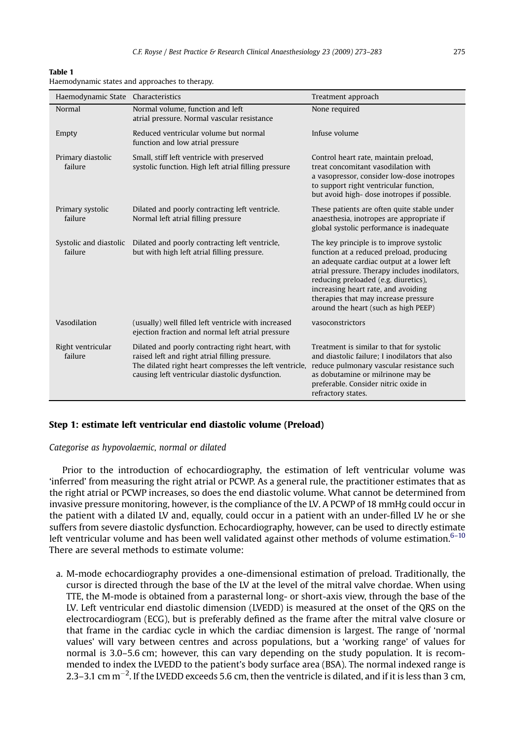#### <span id="page-2-0"></span>Table 1 Haemodynamic states and approaches to therapy.

| Haemodynamic State                | Characteristics                                                                                                                                                                                                 | Treatment approach                                                                                                                                                                                                                                                                                                                                  |  |  |
|-----------------------------------|-----------------------------------------------------------------------------------------------------------------------------------------------------------------------------------------------------------------|-----------------------------------------------------------------------------------------------------------------------------------------------------------------------------------------------------------------------------------------------------------------------------------------------------------------------------------------------------|--|--|
| Normal                            | Normal volume, function and left<br>atrial pressure. Normal vascular resistance                                                                                                                                 | None required                                                                                                                                                                                                                                                                                                                                       |  |  |
| Empty                             | Reduced ventricular volume but normal<br>function and low atrial pressure                                                                                                                                       | Infuse volume                                                                                                                                                                                                                                                                                                                                       |  |  |
| Primary diastolic<br>failure      | Small, stiff left ventricle with preserved<br>systolic function. High left atrial filling pressure                                                                                                              | Control heart rate, maintain preload,<br>treat concomitant vasodilation with<br>a vasopressor, consider low-dose inotropes<br>to support right ventricular function,<br>but avoid high- dose inotropes if possible.                                                                                                                                 |  |  |
| Primary systolic<br>failure       | Dilated and poorly contracting left ventricle.<br>Normal left atrial filling pressure                                                                                                                           | These patients are often quite stable under<br>anaesthesia, inotropes are appropriate if<br>global systolic performance is inadequate                                                                                                                                                                                                               |  |  |
| Systolic and diastolic<br>failure | Dilated and poorly contracting left ventricle,<br>but with high left atrial filling pressure.                                                                                                                   | The key principle is to improve systolic<br>function at a reduced preload, producing<br>an adequate cardiac output at a lower left<br>atrial pressure. Therapy includes inodilators,<br>reducing preloaded (e.g. diuretics),<br>increasing heart rate, and avoiding<br>therapies that may increase pressure<br>around the heart (such as high PEEP) |  |  |
| Vasodilation                      | (usually) well filled left ventricle with increased<br>ejection fraction and normal left atrial pressure                                                                                                        | vasoconstrictors                                                                                                                                                                                                                                                                                                                                    |  |  |
| Right ventricular<br>failure      | Dilated and poorly contracting right heart, with<br>raised left and right atrial filling pressure.<br>The dilated right heart compresses the left ventricle,<br>causing left ventricular diastolic dysfunction. | Treatment is similar to that for systolic<br>and diastolic failure; I inodilators that also<br>reduce pulmonary vascular resistance such<br>as dobutamine or milrinone may be<br>preferable. Consider nitric oxide in<br>refractory states.                                                                                                         |  |  |

## Step 1: estimate left ventricular end diastolic volume (Preload)

#### Categorise as hypovolaemic, normal or dilated

Prior to the introduction of echocardiography, the estimation of left ventricular volume was 'inferred' from measuring the right atrial or PCWP. As a general rule, the practitioner estimates that as the right atrial or PCWP increases, so does the end diastolic volume. What cannot be determined from invasive pressure monitoring, however, is the compliance of the LV. A PCWP of 18 mmHg could occur in the patient with a dilated LV and, equally, could occur in a patient with an under-filled LV he or she suffers from severe diastolic dysfunction. Echocardiography, however, can be used to directly estimate left ventricular volume and has been well validated against other methods of volume estimation. $6-10$ There are several methods to estimate volume:

a. M-mode echocardiography provides a one-dimensional estimation of preload. Traditionally, the cursor is directed through the base of the LV at the level of the mitral valve chordae. When using TTE, the M-mode is obtained from a parasternal long- or short-axis view, through the base of the LV. Left ventricular end diastolic dimension (LVEDD) is measured at the onset of the QRS on the electrocardiogram (ECG), but is preferably defined as the frame after the mitral valve closure or that frame in the cardiac cycle in which the cardiac dimension is largest. The range of 'normal values' will vary between centres and across populations, but a 'working range' of values for normal is 3.0–5.6 cm; however, this can vary depending on the study population. It is recommended to index the LVEDD to the patient's body surface area (BSA). The normal indexed range is 2.3–3.1 cm m<sup>-2</sup>. If the LVEDD exceeds 5.6 cm, then the ventricle is dilated, and if it is less than 3 cm,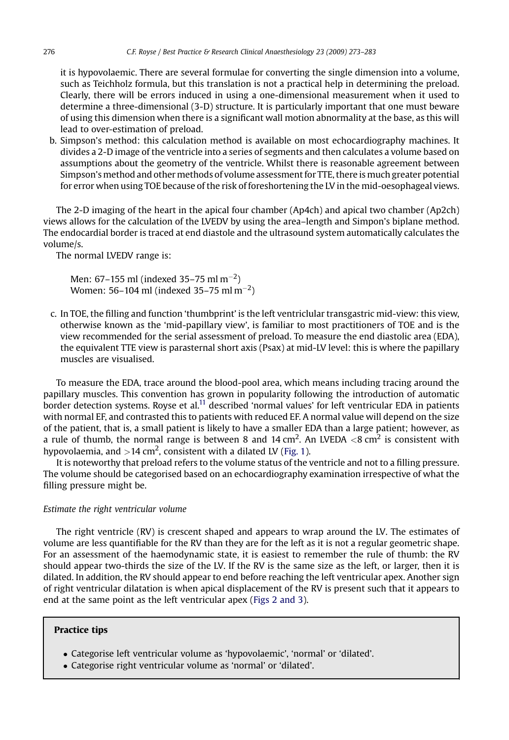it is hypovolaemic. There are several formulae for converting the single dimension into a volume, such as Teichholz formula, but this translation is not a practical help in determining the preload. Clearly, there will be errors induced in using a one-dimensional measurement when it used to determine a three-dimensional (3-D) structure. It is particularly important that one must beware of using this dimension when there is a significant wall motion abnormality at the base, as this will lead to over-estimation of preload.

b. Simpson's method: this calculation method is available on most echocardiography machines. It divides a 2-D image of the ventricle into a series of segments and then calculates a volume based on assumptions about the geometry of the ventricle. Whilst there is reasonable agreement between Simpson's method and other methods of volume assessment for TTE, there is much greater potential for error when using TOE because of the risk of foreshortening the LV in the mid-oesophageal views.

The 2-D imaging of the heart in the apical four chamber (Ap4ch) and apical two chamber (Ap2ch) views allows for the calculation of the LVEDV by using the area–length and Simpon's biplane method. The endocardial border is traced at end diastole and the ultrasound system automatically calculates the volume/s.

The normal LVEDV range is:

Men: 67–155 ml (indexed 35–75 ml m<sup>-2</sup>) Women: 56–104 ml (indexed 35–75 ml m $^{-2})$ 

c. In TOE, the filling and function 'thumbprint' is the left ventriclular transgastric mid-view: this view, otherwise known as the 'mid-papillary view', is familiar to most practitioners of TOE and is the view recommended for the serial assessment of preload. To measure the end diastolic area (EDA), the equivalent TTE view is parasternal short axis (Psax) at mid-LV level: this is where the papillary muscles are visualised.

To measure the EDA, trace around the blood-pool area, which means including tracing around the papillary muscles. This convention has grown in popularity following the introduction of automatic border detection systems. Royse et al.<sup>11</sup> described 'normal values' for left ventricular EDA in patients with normal EF, and contrasted this to patients with reduced EF. A normal value will depend on the size of the patient, that is, a small patient is likely to have a smaller EDA than a large patient; however, as a rule of thumb, the normal range is between 8 and 14 cm<sup>2</sup>. An LVEDA  $<$ 8 cm<sup>2</sup> is consistent with hypovolaemia, and  $>$  14 cm<sup>2</sup>, consistent with a dilated LV [\(Fig. 1\)](#page-4-0).

It is noteworthy that preload refers to the volume status of the ventricle and not to a filling pressure. The volume should be categorised based on an echocardiography examination irrespective of what the filling pressure might be.

## Estimate the right ventricular volume

The right ventricle (RV) is crescent shaped and appears to wrap around the LV. The estimates of volume are less quantifiable for the RV than they are for the left as it is not a regular geometric shape. For an assessment of the haemodynamic state, it is easiest to remember the rule of thumb: the RV should appear two-thirds the size of the LV. If the RV is the same size as the left, or larger, then it is dilated. In addition, the RV should appear to end before reaching the left ventricular apex. Another sign of right ventricular dilatation is when apical displacement of the RV is present such that it appears to end at the same point as the left ventricular apex [\(Figs 2 and 3\)](#page-4-0).

# Practice tips

- Categorise left ventricular volume as 'hypovolaemic', 'normal' or 'dilated'.
- Categorise right ventricular volume as 'normal' or 'dilated'.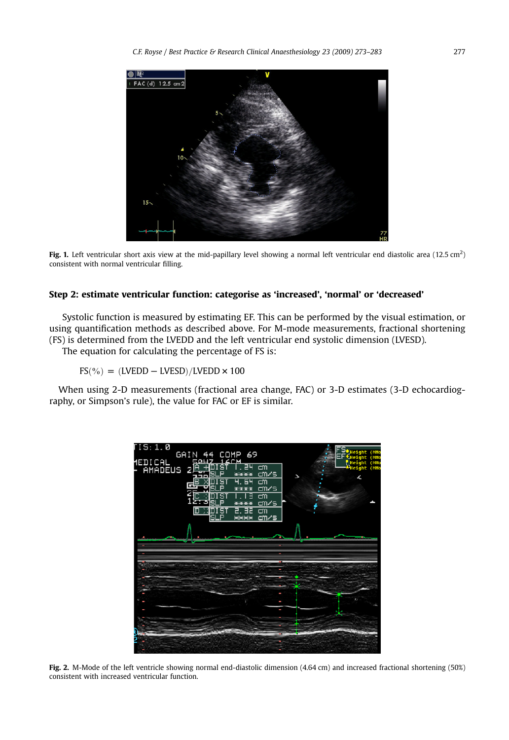<span id="page-4-0"></span>

Fig. 1. Left ventricular short axis view at the mid-papillary level showing a normal left ventricular end diastolic area (12.5 cm<sup>2</sup>) consistent with normal ventricular filling.

# Step 2: estimate ventricular function: categorise as 'increased', 'normal' or 'decreased'

Systolic function is measured by estimating EF. This can be performed by the visual estimation, or using quantification methods as described above. For M-mode measurements, fractional shortening (FS) is determined from the LVEDD and the left ventricular end systolic dimension (LVESD).

The equation for calculating the percentage of FS is:

 $FS(\% ) = (LVEDD - LVESD)/LVEDD \times 100$ 

When using 2-D measurements (fractional area change, FAC) or 3-D estimates (3-D echocardiography, or Simpson's rule), the value for FAC or EF is similar.



Fig. 2. M-Mode of the left ventricle showing normal end-diastolic dimension (4.64 cm) and increased fractional shortening (50%) consistent with increased ventricular function.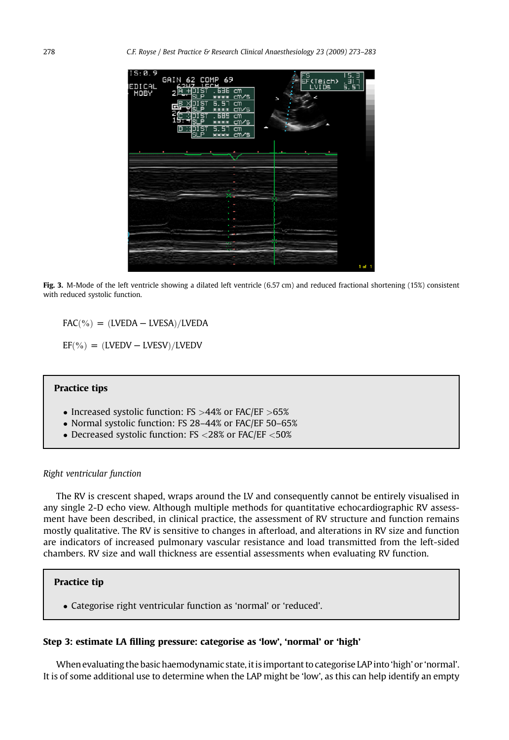

Fig. 3. M-Mode of the left ventricle showing a dilated left ventricle (6.57 cm) and reduced fractional shortening (15%) consistent with reduced systolic function.

 $FAC(\%) = (LVEDA - LVESA)/LVEDA$ 

 $EF(\% ) = (LVEDV - LVESV)/LVEDV$ 

# Practice tips

- Increased systolic function:  $FS > 44%$  or  $FAC/EF > 65%$
- Normal systolic function: FS 28–44% or FAC/EF 50–65%
- Decreased systolic function: FS <28% or FAC/EF <50%

#### Right ventricular function

The RV is crescent shaped, wraps around the LV and consequently cannot be entirely visualised in any single 2-D echo view. Although multiple methods for quantitative echocardiographic RV assessment have been described, in clinical practice, the assessment of RV structure and function remains mostly qualitative. The RV is sensitive to changes in afterload, and alterations in RV size and function are indicators of increased pulmonary vascular resistance and load transmitted from the left-sided chambers. RV size and wall thickness are essential assessments when evaluating RV function.

## Practice tip

Categorise right ventricular function as 'normal' or 'reduced'.

## Step 3: estimate LA filling pressure: categorise as 'low', 'normal' or 'high'

When evaluating the basic haemodynamic state, itisimportant to categorise LAP into 'high' or 'normal'. It is of some additional use to determine when the LAP might be 'low', as this can help identify an empty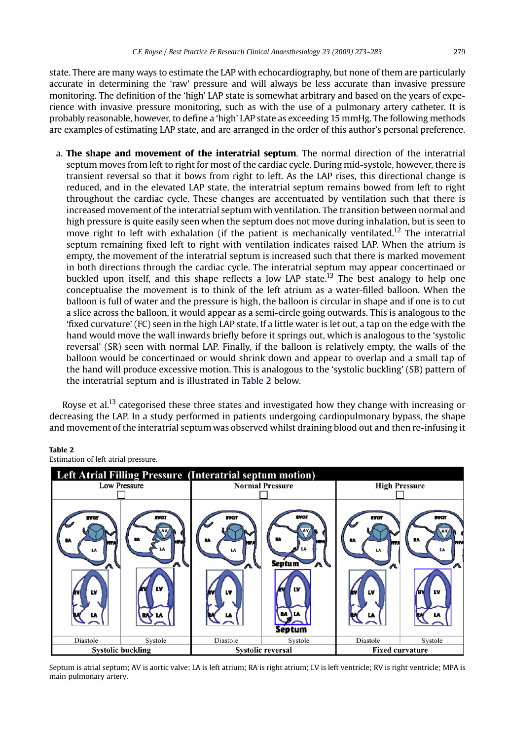state. There are many ways to estimate the LAP with echocardiography, but none of them are particularly accurate in determining the 'raw' pressure and will always be less accurate than invasive pressure monitoring. The definition of the 'high' LAP state is somewhat arbitrary and based on the years of experience with invasive pressure monitoring, such as with the use of a pulmonary artery catheter. It is probably reasonable, however, to define a 'high' LAP state as exceeding 15 mmHg. The following methods are examples of estimating LAP state, and are arranged in the order of this author's personal preference.

a. The shape and movement of the interatrial septum. The normal direction of the interatrial septum moves from left to right for most of the cardiac cycle. During mid-systole, however, there is transient reversal so that it bows from right to left. As the LAP rises, this directional change is reduced, and in the elevated LAP state, the interatrial septum remains bowed from left to right throughout the cardiac cycle. These changes are accentuated by ventilation such that there is increased movement of the interatrial septum with ventilation. The transition between normal and high pressure is quite easily seen when the septum does not move during inhalation, but is seen to move right to left with exhalation (if the patient is mechanically ventilated.<sup>12</sup> The interatrial septum remaining fixed left to right with ventilation indicates raised LAP. When the atrium is empty, the movement of the interatrial septum is increased such that there is marked movement in both directions through the cardiac cycle. The interatrial septum may appear concertinaed or buckled upon itself, and this shape reflects a low LAP state.<sup>[13](#page-10-0)</sup> The best analogy to help one conceptualise the movement is to think of the left atrium as a water-filled balloon. When the balloon is full of water and the pressure is high, the balloon is circular in shape and if one is to cut a slice across the balloon, it would appear as a semi-circle going outwards. This is analogous to the 'fixed curvature' (FC) seen in the high LAP state. If a little water is let out, a tap on the edge with the hand would move the wall inwards briefly before it springs out, which is analogous to the 'systolic reversal' (SR) seen with normal LAP. Finally, if the balloon is relatively empty, the walls of the balloon would be concertinaed or would shrink down and appear to overlap and a small tap of the hand will produce excessive motion. This is analogous to the 'systolic buckling' (SB) pattern of the interatrial septum and is illustrated in Table 2 below.

Royse et al.<sup>13</sup> categorised these three states and investigated how they change with increasing or decreasing the LAP. In a study performed in patients undergoing cardiopulmonary bypass, the shape and movement of the interatrial septum was observed whilst draining blood out and then re-infusing it

#### **Atrial Filling Pressure** (Interatrial septum motion) **Low Pressure Normal Pressure High Pressure** П П П Septum entum Systole Diastole Diastole Diastole Systole Systole **Systolic buckling Systolic reversal Fixed curvature**

# Table 2



Estimation of left atrial pressure.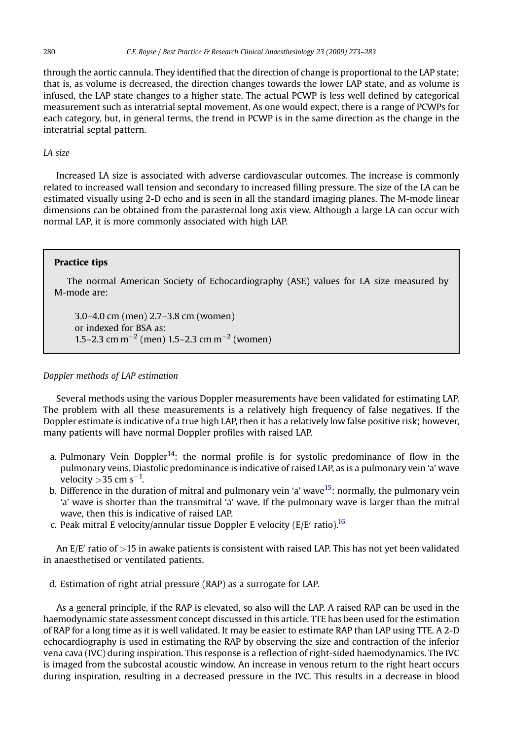through the aortic cannula. They identified that the direction of change is proportional to the LAP state; that is, as volume is decreased, the direction changes towards the lower LAP state, and as volume is infused, the LAP state changes to a higher state. The actual PCWP is less well defined by categorical measurement such as interatrial septal movement. As one would expect, there is a range of PCWPs for each category, but, in general terms, the trend in PCWP is in the same direction as the change in the interatrial septal pattern.

## LA size

Increased LA size is associated with adverse cardiovascular outcomes. The increase is commonly related to increased wall tension and secondary to increased filling pressure. The size of the LA can be estimated visually using 2-D echo and is seen in all the standard imaging planes. The M-mode linear dimensions can be obtained from the parasternal long axis view. Although a large LA can occur with normal LAP, it is more commonly associated with high LAP.

## Practice tips

The normal American Society of Echocardiography (ASE) values for LA size measured by M-mode are:

3.0–4.0 cm (men) 2.7–3.8 cm (women) or indexed for BSA as: 1.5–2.3 cm m<sup>-2</sup> (men) 1.5–2.3 cm m<sup>-2</sup> (women)

## Doppler methods of LAP estimation

Several methods using the various Doppler measurements have been validated for estimating LAP. The problem with all these measurements is a relatively high frequency of false negatives. If the Doppler estimate is indicative of a true high LAP, then it has a relatively low false positive risk; however, many patients will have normal Doppler profiles with raised LAP.

- a. Pulmonary Vein Doppler<sup>14</sup>: the normal profile is for systolic predominance of flow in the pulmonary veins. Diastolic predominance is indicative of raised LAP, as is a pulmonary vein 'a' wave velocity  $>\!\!35$  cm s $^{-1}\!\!$ .
- b. Difference in the duration of mitral and pulmonary vein 'a' wave<sup>15</sup>: normally, the pulmonary vein 'a' wave is shorter than the transmitral 'a' wave. If the pulmonary wave is larger than the mitral wave, then this is indicative of raised LAP.
- c. Peak mitral E velocity/annular tissue Doppler E velocity (E/E' ratio).<sup>16</sup>

An  $E/E'$  ratio of  $>15$  in awake patients is consistent with raised LAP. This has not yet been validated in anaesthetised or ventilated patients.

d. Estimation of right atrial pressure (RAP) as a surrogate for LAP.

As a general principle, if the RAP is elevated, so also will the LAP. A raised RAP can be used in the haemodynamic state assessment concept discussed in this article. TTE has been used for the estimation of RAP for a long time as it is well validated. It may be easier to estimate RAP than LAP using TTE. A 2-D echocardiography is used in estimating the RAP by observing the size and contraction of the inferior vena cava (IVC) during inspiration. This response is a reflection of right-sided haemodynamics. The IVC is imaged from the subcostal acoustic window. An increase in venous return to the right heart occurs during inspiration, resulting in a decreased pressure in the IVC. This results in a decrease in blood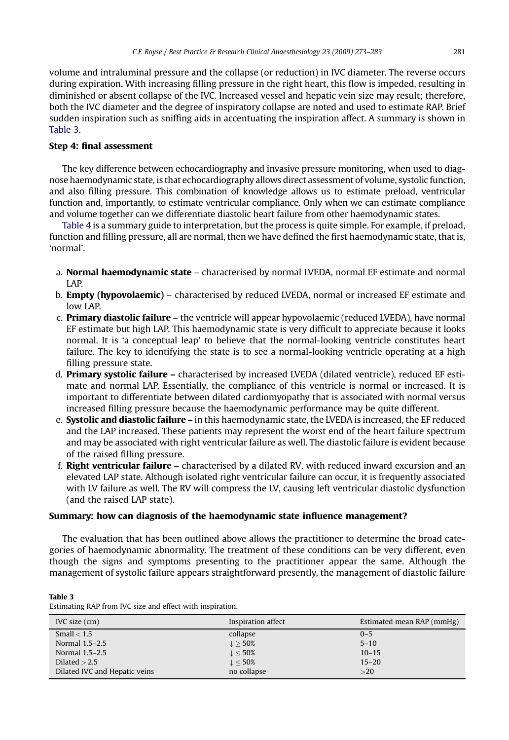volume and intraluminal pressure and the collapse (or reduction) in IVC diameter. The reverse occurs during expiration. With increasing filling pressure in the right heart, this flow is impeded, resulting in diminished or absent collapse of the IVC. Increased vessel and hepatic vein size may result; therefore, both the IVC diameter and the degree of inspiratory collapse are noted and used to estimate RAP. Brief sudden inspiration such as sniffing aids in accentuating the inspiration affect. A summary is shown in Table 3.

# Step 4: final assessment

The key difference between echocardiography and invasive pressure monitoring, when used to diagnose haemodynamic state, is that echocardiography allows direct assessment of volume, systolic function, and also filling pressure. This combination of knowledge allows us to estimate preload, ventricular function and, importantly, to estimate ventricular compliance. Only when we can estimate compliance and volume together can we differentiate diastolic heart failure from other haemodynamic states.

[Table 4](#page-9-0) is a summary guide to interpretation, but the process is quite simple. For example, if preload, function and filling pressure, all are normal, then we have defined the first haemodynamic state, that is, 'normal'.

- a. Normal haemodynamic state characterised by normal LVEDA, normal EF estimate and normal LAP.
- b. **Empty (hypovolaemic)** characterised by reduced LVEDA, normal or increased EF estimate and low LAP.
- c. Primary diastolic failure the ventricle will appear hypovolaemic (reduced LVEDA), have normal EF estimate but high LAP. This haemodynamic state is very difficult to appreciate because it looks normal. It is 'a conceptual leap' to believe that the normal-looking ventricle constitutes heart failure. The key to identifying the state is to see a normal-looking ventricle operating at a high filling pressure state.
- d. Primary systolic failure characterised by increased LVEDA (dilated ventricle), reduced EF estimate and normal LAP. Essentially, the compliance of this ventricle is normal or increased. It is important to differentiate between dilated cardiomyopathy that is associated with normal versus increased filling pressure because the haemodynamic performance may be quite different.
- e. Systolic and diastolic failure in this haemodynamic state, the LVEDA is increased, the EF reduced and the LAP increased. These patients may represent the worst end of the heart failure spectrum and may be associated with right ventricular failure as well. The diastolic failure is evident because of the raised filling pressure.
- f. Right ventricular failure characterised by a dilated RV, with reduced inward excursion and an elevated LAP state. Although isolated right ventricular failure can occur, it is frequently associated with LV failure as well. The RV will compress the LV, causing left ventricular diastolic dysfunction (and the raised LAP state).

# Summary: how can diagnosis of the haemodynamic state influence management?

The evaluation that has been outlined above allows the practitioner to determine the broad categories of haemodynamic abnormality. The treatment of these conditions can be very different, even though the signs and symptoms presenting to the practitioner appear the same. Although the management of systolic failure appears straightforward presently, the management of diastolic failure

| $IVC$ size $(cm)$             | Inspiration affect | Estimated mean RAP (mmHg) |
|-------------------------------|--------------------|---------------------------|
| Small $< 1.5$                 | collapse           | $0 - 5$                   |
| Normal 1.5-2.5                | $\downarrow$ > 50% | $5 - 10$                  |
| Normal 1.5-2.5                | $\downarrow$ < 50% | $10 - 15$                 |
| Dilated > 2.5                 | $\downarrow$ < 50% | $15 - 20$                 |
| Dilated IVC and Hepatic veins | no collapse        | >20                       |

Table 3

Estimating RAP from IVC size and effect with inspiration.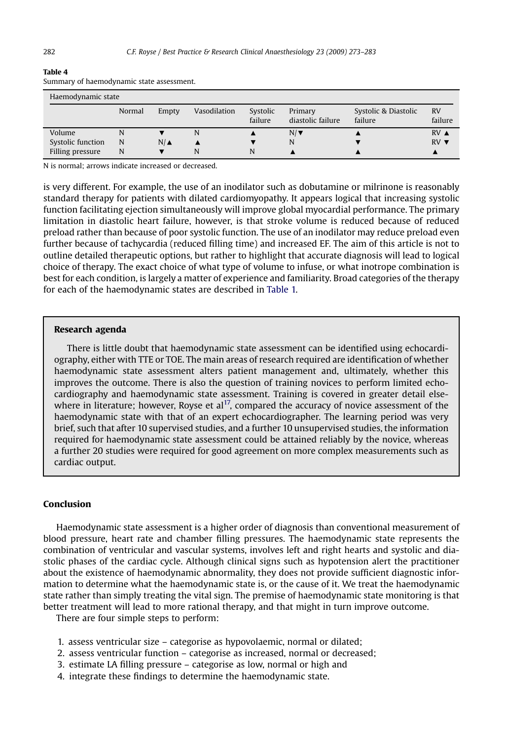| Haemodynamic state |        |       |              |                     |                              |                                 |                           |  |  |  |
|--------------------|--------|-------|--------------|---------------------|------------------------------|---------------------------------|---------------------------|--|--|--|
|                    | Normal | Empty | Vasodilation | Systolic<br>failure | Primary<br>diastolic failure | Systolic & Diastolic<br>failure | <b>RV</b><br>failure      |  |  |  |
| Volume             | N      |       | N            |                     | $N/\blacktriangledown$       |                                 | $RV$ $\triangle$          |  |  |  |
| Systolic function  | N      | N/A   |              |                     | N                            |                                 | $RV$ $\blacktriangledown$ |  |  |  |
| Filling pressure   | N      |       | N            | N                   |                              |                                 |                           |  |  |  |

<span id="page-9-0"></span>Table 4 Summary of haemodynamic state assessment.

N is normal; arrows indicate increased or decreased.

is very different. For example, the use of an inodilator such as dobutamine or milrinone is reasonably standard therapy for patients with dilated cardiomyopathy. It appears logical that increasing systolic function facilitating ejection simultaneously will improve global myocardial performance. The primary limitation in diastolic heart failure, however, is that stroke volume is reduced because of reduced preload rather than because of poor systolic function. The use of an inodilator may reduce preload even further because of tachycardia (reduced filling time) and increased EF. The aim of this article is not to outline detailed therapeutic options, but rather to highlight that accurate diagnosis will lead to logical choice of therapy. The exact choice of what type of volume to infuse, or what inotrope combination is best for each condition, is largely a matter of experience and familiarity. Broad categories of the therapy for each of the haemodynamic states are described in [Table 1.](#page-2-0)

#### Research agenda

There is little doubt that haemodynamic state assessment can be identified using echocardiography, either with TTE or TOE. The main areas of research required are identification of whether haemodynamic state assessment alters patient management and, ultimately, whether this improves the outcome. There is also the question of training novices to perform limited echocardiography and haemodynamic state assessment. Training is covered in greater detail elsewhere in literature; however, Royse et al<sup>17</sup>, compared the accuracy of novice assessment of the haemodynamic state with that of an expert echocardiographer. The learning period was very brief, such that after 10 supervised studies, and a further 10 unsupervised studies, the information required for haemodynamic state assessment could be attained reliably by the novice, whereas a further 20 studies were required for good agreement on more complex measurements such as cardiac output.

## Conclusion

Haemodynamic state assessment is a higher order of diagnosis than conventional measurement of blood pressure, heart rate and chamber filling pressures. The haemodynamic state represents the combination of ventricular and vascular systems, involves left and right hearts and systolic and diastolic phases of the cardiac cycle. Although clinical signs such as hypotension alert the practitioner about the existence of haemodynamic abnormality, they does not provide sufficient diagnostic information to determine what the haemodynamic state is, or the cause of it. We treat the haemodynamic state rather than simply treating the vital sign. The premise of haemodynamic state monitoring is that better treatment will lead to more rational therapy, and that might in turn improve outcome.

There are four simple steps to perform:

- 1. assess ventricular size categorise as hypovolaemic, normal or dilated;
- 2. assess ventricular function categorise as increased, normal or decreased;
- 3. estimate LA filling pressure categorise as low, normal or high and
- 4. integrate these findings to determine the haemodynamic state.